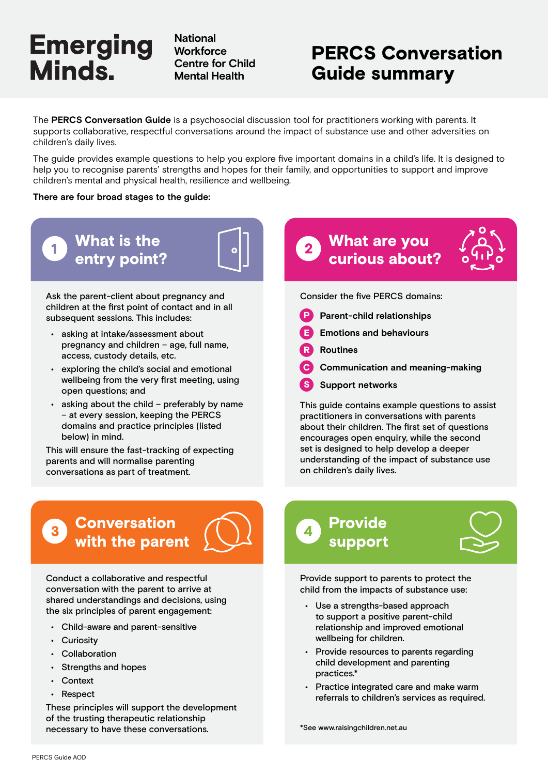# **Emerging** Minds.

**National Workforce Centre for Child Mental Health**

## PERCS Conversation Guide summary

The **PERCS Conversation Guide** is a psychosocial discussion tool for practitioners working with parents. It supports collaborative, respectful conversations around the impact of substance use and other adversities on children's daily lives.

The guide provides example questions to help you explore five important domains in a child's life. It is designed to help you to recognise parents' strengths and hopes for their family, and opportunities to support and improve children's mental and physical health, resilience and wellbeing.

#### **There are four broad stages to the guide:**



Ask the parent-client about pregnancy and children at the first point of contact and in all subsequent sessions. This includes:

- asking at intake/assessment about pregnancy and children – age, full name, access, custody details, etc.
- exploring the child's social and emotional wellbeing from the very first meeting, using open questions; and
- asking about the child preferably by name – at every session, keeping the PERCS domains and practice principles (listed below) in mind.

This will ensure the fast-tracking of expecting parents and will normalise parenting conversations as part of treatment.

### **Conversation** with the parent



Conduct a collaborative and respectful conversation with the parent to arrive at shared understandings and decisions, using the six principles of parent engagement:

- Child-aware and parent-sensitive
- Curiosity
- Collaboration
- Strengths and hopes
- Context
- **Respect**

These principles will support the development of the trusting therapeutic relationship necessary to have these conversations.

### What are you curious about?



Consider the five PERCS domains:

- **P** Parent-child relationships
- **Emotions and behaviours**
- R **Routines**
- C **Communication and meaning-making**
- S **Support networks**

This guide contains example questions to assist practitioners in conversations with parents about their children. The first set of questions encourages open enquiry, while the second set is designed to help develop a deeper understanding of the impact of substance use on children's daily lives.

### Provide support



Provide support to parents to protect the child from the impacts of substance use:

- Use a strengths-based approach to support a positive parent-child relationship and improved emotional wellbeing for children.
- Provide resources to parents regarding child development and parenting practices.\*
- Practice integrated care and make warm referrals to children's services as required.

\*See www.raisingchildren.net.au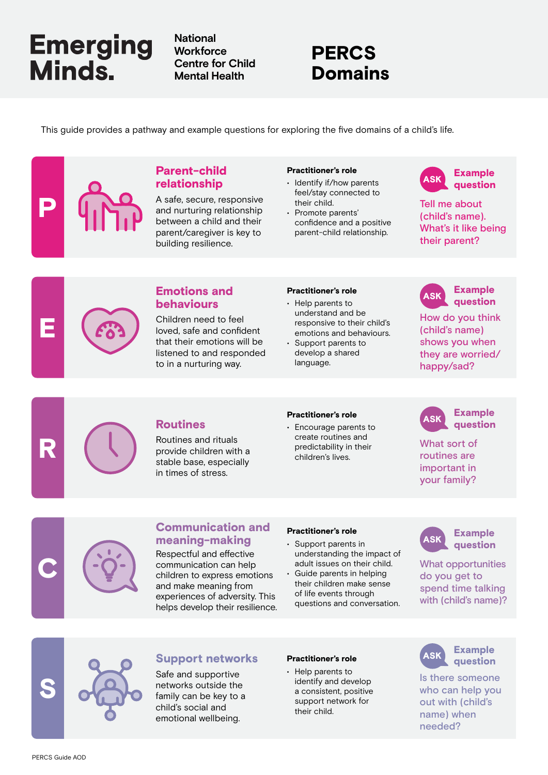# **Emerging** Minds.

**National Workforce Centre for Child Mental Health**

### PERCS Domains

This guide provides a pathway and example questions for exploring the five domains of a child's life.

#### Parent-child relationship

A safe, secure, responsive and nurturing relationship between a child and their parent/caregiver is key to building resilience.

#### Practitioner's role

- Identify if/how parents feel/stay connected to their child.
- Promote parents' confidence and a positive parent-child relationship.



Tell me about (child's name). What's it like being their parent?



P

#### **Emotions and** Practitioner's role **ASK** behaviours

Children need to feel loved, safe and confident that their emotions will be listened to and responded to in a nurturing way.

#### Practitioner's role

- Help parents to understand and be responsive to their child's emotions and behaviours.
- Support parents to develop a shared language.



How do you think (child's name) shows you when they are worried/ happy/sad?



Routines and rituals provide children with a stable base, especially in times of stress.

#### Practitioner's role

**Routines** Financial Processing Processing CASK create routines and predictability in their children's lives.



What sort of routines are important in your family?



#### Communication and meaning-making

Respectful and effective communication can help children to express emotions and make meaning from experiences of adversity. This helps develop their resilience.

#### Practitioner's role

- Support parents in understanding the impact of adult issues on their child.
- Guide parents in helping their children make sense of life events through questions and conversation.



What opportunities do you get to spend time talking with (child's name)?



#### Support networks Practitioner's role (ASK

Safe and supportive networks outside the family can be key to a child's social and emotional wellbeing.

#### Practitioner's role

• Help parents to identify and develop a consistent, positive support network for their child.



Is there someone who can help you out with (child's name) when needed?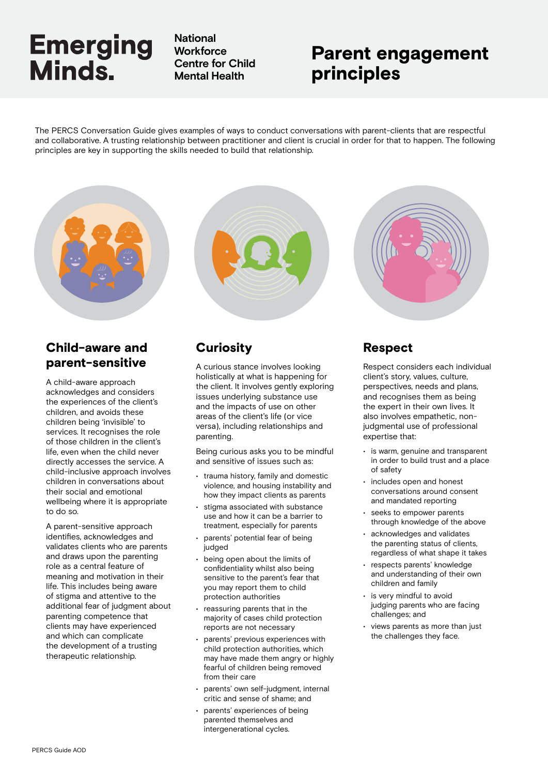# **Emerging** Minds.

**National Workforce Centre for Child Mental Health**

### Parent engagement principles

The PERCS Conversation Guide gives examples of ways to conduct conversations with parent-clients that are respectful and collaborative. A trusting relationship between practitioner and client is crucial in order for that to happen. The following principles are key in supporting the skills needed to build that relationship.

#### Child-aware and parent-sensitive

A child-aware approach acknowledges and considers the experiences of the client's children, and avoids these children being 'invisible' to services. It recognises the role of those children in the client's life, even when the child never directly accesses the service. A child-inclusive approach involves children in conversations about their social and emotional wellbeing where it is appropriate to do so.

A parent-sensitive approach identifies, acknowledges and validates clients who are parents and draws upon the parenting role as a central feature of meaning and motivation in their life. This includes being aware of stigma and attentive to the additional fear of judgment about parenting competence that clients may have experienced and which can complicate the development of a trusting therapeutic relationship.



### **Curiosity**

A curious stance involves looking holistically at what is happening for the client. It involves gently exploring issues underlying substance use and the impacts of use on other areas of the client's life (or vice versa), including relationships and parenting.

Being curious asks you to be mindful and sensitive of issues such as:

- trauma history, family and domestic violence, and housing instability and how they impact clients as parents
- stigma associated with substance use and how it can be a barrier to treatment, especially for parents
- parents' potential fear of being judged
- being open about the limits of confidentiality whilst also being sensitive to the parent's fear that you may report them to child protection authorities
- reassuring parents that in the majority of cases child protection reports are not necessary
- parents' previous experiences with child protection authorities, which may have made them angry or highly fearful of children being removed from their care
- parents' own self-judgment, internal critic and sense of shame; and
- parents' experiences of being parented themselves and intergenerational cycles.



### Respect

Respect considers each individual client's story, values, culture, perspectives, needs and plans, and recognises them as being the expert in their own lives. It also involves empathetic, nonjudgmental use of professional expertise that:

- is warm, genuine and transparent in order to build trust and a place of safety
- includes open and honest conversations around consent and mandated reporting
- seeks to empower parents through knowledge of the above
- acknowledges and validates the parenting status of clients, regardless of what shape it takes
- respects parents' knowledge and understanding of their own children and family
- is very mindful to avoid judging parents who are facing challenges; and
- views parents as more than just the challenges they face.